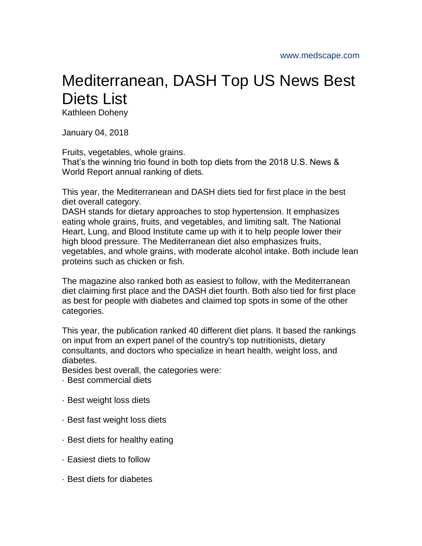## Mediterranean, DASH Top US News Best Diets List

Kathleen Doheny

January 04, 2018

Fruits, vegetables, whole grains.

That's the winning trio found in both top diets from the 2018 U.S. News & World Report annual ranking of diets.

This year, the Mediterranean and DASH diets tied for first place in the best diet overall category.

DASH stands for dietary approaches to stop hypertension. It emphasizes eating whole grains, fruits, and vegetables, and limiting salt. The National Heart, Lung, and Blood Institute came up with it to help people lower their high blood pressure. The Mediterranean diet also emphasizes fruits, vegetables, and whole grains, with moderate alcohol intake. Both include lean proteins such as chicken or fish.

The magazine also ranked both as easiest to follow, with the Mediterranean diet claiming first place and the DASH diet fourth. Both also tied for first place as best for people with diabetes and claimed top spots in some of the other categories.

This year, the publication ranked 40 different diet plans. It based the rankings on input from an expert panel of the country's top nutritionists, dietary consultants, and doctors who specialize in heart health, weight loss, and diabetes.

Besides best overall, the categories were:

- · Best commercial diets
- · Best weight loss diets
- · Best fast weight loss diets
- · Best diets for healthy eating
- · Easiest diets to follow
- · Best diets for diabetes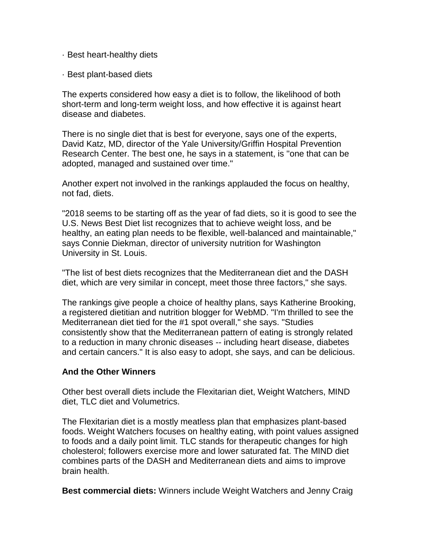- · Best heart-healthy diets
- · Best plant-based diets

The experts considered how easy a diet is to follow, the likelihood of both short-term and long-term weight loss, and how effective it is against heart disease and diabetes.

There is no single diet that is best for everyone, says one of the experts, David Katz, MD, director of the Yale University/Griffin Hospital Prevention Research Center. The best one, he says in a statement, is ''one that can be adopted, managed and sustained over time."

Another expert not involved in the rankings applauded the focus on healthy, not fad, diets.

"2018 seems to be starting off as the year of fad diets, so it is good to see the U.S. News Best Diet list recognizes that to achieve weight loss, and be healthy, an eating plan needs to be flexible, well-balanced and maintainable," says Connie Diekman, director of university nutrition for Washington University in St. Louis.

"The list of best diets recognizes that the Mediterranean diet and the DASH diet, which are very similar in concept, meet those three factors," she says.

The rankings give people a choice of healthy plans, says Katherine Brooking, a registered dietitian and nutrition blogger for WebMD. "I'm thrilled to see the Mediterranean diet tied for the #1 spot overall," she says. "Studies consistently show that the Mediterranean pattern of eating is strongly related to a reduction in many chronic diseases -- including heart disease, diabetes and certain cancers." It is also easy to adopt, she says, and can be delicious.

## **And the Other Winners**

Other best overall diets include the Flexitarian diet, Weight Watchers, MIND diet, TLC diet and Volumetrics.

The Flexitarian diet is a mostly meatless plan that emphasizes plant-based foods. Weight Watchers focuses on healthy eating, with point values assigned to foods and a daily point limit. TLC stands for therapeutic changes for high cholesterol; followers exercise more and lower saturated fat. The MIND diet combines parts of the DASH and Mediterranean diets and aims to improve brain health.

**Best commercial diets:** Winners include Weight Watchers and Jenny Craig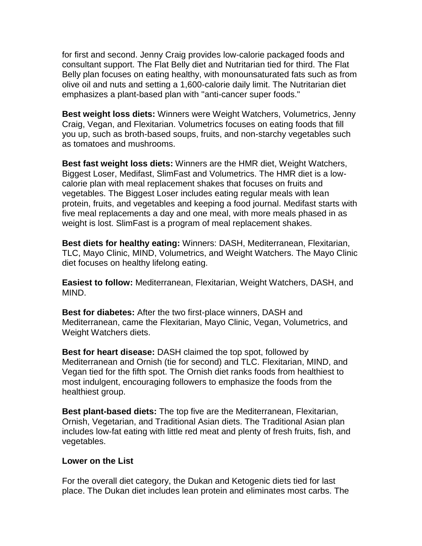for first and second. Jenny Craig provides low-calorie packaged foods and consultant support. The Flat Belly diet and Nutritarian tied for third. The Flat Belly plan focuses on eating healthy, with monounsaturated fats such as from olive oil and nuts and setting a 1,600-calorie daily limit. The Nutritarian diet emphasizes a plant-based plan with ''anti-cancer super foods."

**Best weight loss diets:** Winners were Weight Watchers, Volumetrics, Jenny Craig, Vegan, and Flexitarian. Volumetrics focuses on eating foods that fill you up, such as broth-based soups, fruits, and non-starchy vegetables such as tomatoes and mushrooms.

**Best fast weight loss diets:** Winners are the HMR diet, Weight Watchers, Biggest Loser, Medifast, SlimFast and Volumetrics. The HMR diet is a lowcalorie plan with meal replacement shakes that focuses on fruits and vegetables. The Biggest Loser includes eating regular meals with lean protein, fruits, and vegetables and keeping a food journal. Medifast starts with five meal replacements a day and one meal, with more meals phased in as weight is lost. SlimFast is a program of meal replacement shakes.

**Best diets for healthy eating:** Winners: DASH, Mediterranean, Flexitarian, TLC, Mayo Clinic, MIND, Volumetrics, and Weight Watchers. The Mayo Clinic diet focuses on healthy lifelong eating.

**Easiest to follow:** Mediterranean, Flexitarian, Weight Watchers, DASH, and MIND.

**Best for diabetes:** After the two first-place winners, DASH and Mediterranean, came the Flexitarian, Mayo Clinic, Vegan, Volumetrics, and Weight Watchers diets.

**Best for heart disease:** DASH claimed the top spot, followed by Mediterranean and Ornish (tie for second) and TLC. Flexitarian, MIND, and Vegan tied for the fifth spot. The Ornish diet ranks foods from healthiest to most indulgent, encouraging followers to emphasize the foods from the healthiest group.

**Best plant-based diets:** The top five are the Mediterranean, Flexitarian, Ornish, Vegetarian, and Traditional Asian diets. The Traditional Asian plan includes low-fat eating with little red meat and plenty of fresh fruits, fish, and vegetables.

## **Lower on the List**

For the overall diet category, the Dukan and Ketogenic diets tied for last place. The Dukan diet includes lean protein and eliminates most carbs. The